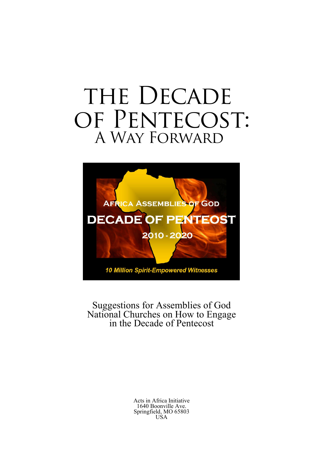# THE DECADE OF PENTECOST: A Way Forward



Suggestions for Assemblies of God National Churches on How to Engage in the Decade of Pentecost

> Acts in Africa Initiative 1640 Boonville Ave. Springfield, MO 65803 USA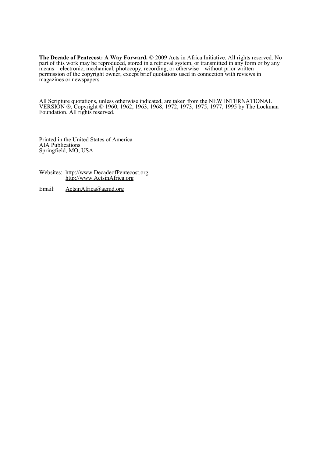The Decade of Pentecost: A Way Forward. © 2009 Acts in Africa Initiative. All rights reserved. No part of this work may be reproduced, stored in a retrieval system, or transmitted in any form or by any means—electronic, mechanical, photocopy, recording, or otherwise—without prior written permission of the copyright owner, except brief quotations used in connection with reviews in magazines or newspapers.

All Scripture quotations, unless otherwise indicated, are taken from the NEW INTERNATIONAL VERSION ®, Copyright © 1960, 1962, 1963, 1968, 1972, 1973, 1975, 1977, 1995 by The Lockman Foundation. All rights reserved.

Printed in the United States of America AIA Publications Springfield, MO, USA

- Websites: http://www.DecadeofPentecost.org http://www.ActsinAfrica.org
- Email: ActsinAfrica@agmd.org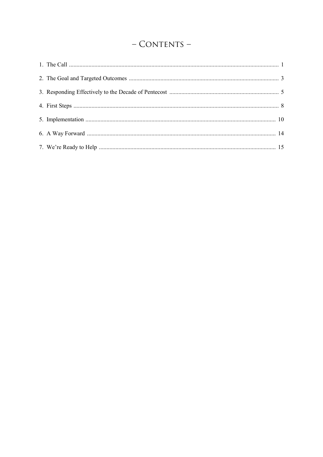### - CONTENTS -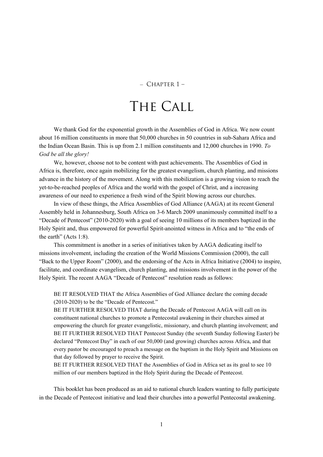#### $-$  CHAPTER  $1-$

### The Call

We thank God for the exponential growth in the Assemblies of God in Africa. We now count about 16 million constituents in more that 50,000 churches in 50 countries in sub-Sahara Africa and the Indian Ocean Basin. This is up from 2.1 million constituents and 12,000 churches in 1990. To God be all the glory!

We, however, choose not to be content with past achievements. The Assemblies of God in Africa is, therefore, once again mobilizing for the greatest evangelism, church planting, and missions advance in the history of the movement. Along with this mobilization is a growing vision to reach the yet-to-be-reached peoples of Africa and the world with the gospel of Christ, and a increasing awareness of our need to experience a fresh wind of the Spirit blowing across our churches.

In view of these things, the Africa Assemblies of God Alliance (AAGA) at its recent General Assembly held in Johannesburg, South Africa on 3-6 March 2009 unanimously committed itself to a "Decade of Pentecost" (2010-2020) with a goal of seeing 10 millions of its members baptized in the Holy Spirit and, thus empowered for powerful Spirit-anointed witness in Africa and to "the ends of the earth" (Acts 1:8).

This commitment is another in a series of initiatives taken by AAGA dedicating itself to missions involvement, including the creation of the World Missions Commission (2000), the call "Back to the Upper Room" (2000), and the endorsing of the Acts in Africa Initiative (2004) to inspire, facilitate, and coordinate evangelism, church planting, and missions involvement in the power of the Holy Spirit. The recent AAGA "Decade of Pentecost" resolution reads as follows:

BE IT RESOLVED THAT the Africa Assemblies of God Alliance declare the coming decade (2010-2020) to be the "Decade of Pentecost."

BE IT FURTHER RESOLVED THAT during the Decade of Pentecost AAGA will call on its constituent national churches to promote a Pentecostal awakening in their churches aimed at empowering the church for greater evangelistic, missionary, and church planting involvement; and BE IT FURTHER RESOLVED THAT Pentecost Sunday (the seventh Sunday following Easter) be declared "Pentecost Day" in each of our 50,000 (and growing) churches across Africa, and that every pastor be encouraged to preach a message on the baptism in the Holy Spirit and Missions on that day followed by prayer to receive the Spirit.

BE IT FURTHER RESOLVED THAT the Assemblies of God in Africa set as its goal to see 10 million of our members baptized in the Holy Spirit during the Decade of Pentecost.

This booklet has been produced as an aid to national church leaders wanting to fully participate in the Decade of Pentecost initiative and lead their churches into a powerful Pentecostal awakening.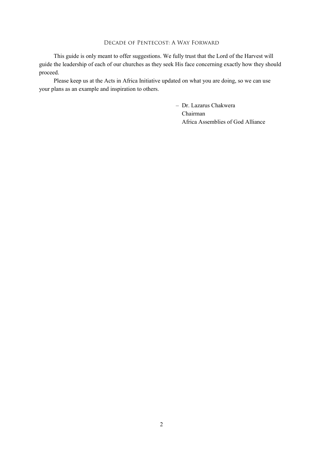This guide is only meant to offer suggestions. We fully trust that the Lord of the Harvest will guide the leadership of each of our churches as they seek His face concerning exactly how they should proceed.

Please keep us at the Acts in Africa Initiative updated on what you are doing, so we can use your plans as an example and inspiration to others.

> – Dr. Lazarus Chakwera Chairman Africa Assemblies of God Alliance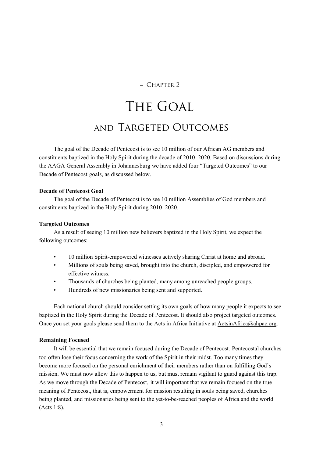#### $-$  CHAPTER  $2-$

## The Goal and Targeted Outcomes

The goal of the Decade of Pentecost is to see 10 million of our African AG members and constituents baptized in the Holy Spirit during the decade of 2010–2020. Based on discussions during the AAGA General Assembly in Johannesburg we have added four "Targeted Outcomes" to our Decade of Pentecost goals, as discussed below.

#### Decade of Pentecost Goal

The goal of the Decade of Pentecost is to see 10 million Assemblies of God members and constituents baptized in the Holy Spirit during 2010–2020.

#### Targeted Outcomes

As a result of seeing 10 million new believers baptized in the Holy Spirit, we expect the following outcomes:

- 10 million Spirit-empowered witnesses actively sharing Christ at home and abroad.
- Millions of souls being saved, brought into the church, discipled, and empowered for effective witness.
- Thousands of churches being planted, many among unreached people groups.
- Hundreds of new missionaries being sent and supported.

Each national church should consider setting its own goals of how many people it expects to see baptized in the Holy Spirit during the Decade of Pentecost. It should also project targeted outcomes. Once you set your goals please send them to the Acts in Africa Initiative at ActsinAfrica@ahpac.org.

#### Remaining Focused

It will be essential that we remain focused during the Decade of Pentecost. Pentecostal churches too often lose their focus concerning the work of the Spirit in their midst. Too many times they become more focused on the personal enrichment of their members rather than on fulfilling God's mission. We must now allow this to happen to us, but must remain vigilant to guard against this trap. As we move through the Decade of Pentecost, it will important that we remain focused on the true meaning of Pentecost, that is, empowerment for mission resulting in souls being saved, churches being planted, and missionaries being sent to the yet-to-be-reached peoples of Africa and the world (Acts 1:8).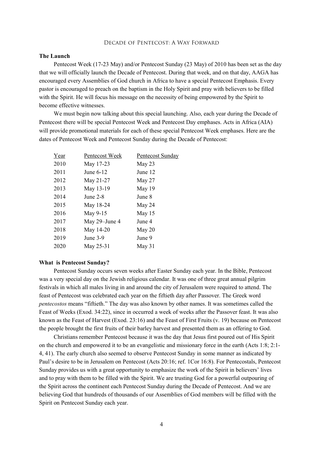#### The Launch

Pentecost Week (17-23 May) and/or Pentecost Sunday (23 May) of 2010 has been set as the day that we will officially launch the Decade of Pentecost. During that week, and on that day, AAGA has encouraged every Assemblies of God church in Africa to have a special Pentecost Emphasis. Every pastor is encouraged to preach on the baptism in the Holy Spirit and pray with believers to be filled with the Spirit. He will focus his message on the necessity of being empowered by the Spirit to become effective witnesses.

We must begin now talking about this special launching. Also, each year during the Decade of Pentecost there will be special Pentecost Week and Pentecost Day emphases. Acts in Africa (AIA) will provide promotional materials for each of these special Pentecost Week emphases. Here are the dates of Pentecost Week and Pentecost Sunday during the Decade of Pentecost:

| Year | Pentecost Week | Pentecost Sunday |
|------|----------------|------------------|
| 2010 | May 17-23      | May 23           |
| 2011 | June 6-12      | June 12          |
| 2012 | May 21-27      | May 27           |
| 2013 | May 13-19      | May 19           |
| 2014 | June $2-8$     | June 8           |
| 2015 | May 18-24      | May 24           |
| 2016 | May 9-15       | May 15           |
| 2017 | May 29–June 4  | June 4           |
| 2018 | May 14-20      | May $20$         |
| 2019 | June $3-9$     | June 9           |
| 2020 | May 25-31      | May 31           |

#### What is Pentecost Sunday?

Pentecost Sunday occurs seven weeks after Easter Sunday each year. In the Bible, Pentecost was a very special day on the Jewish religious calendar. It was one of three great annual pilgrim festivals in which all males living in and around the city of Jerusalem were required to attend. The feast of Pentecost was celebrated each year on the fiftieth day after Passover. The Greek word pentecostos means "fiftieth." The day was also known by other names. It was sometimes called the Feast of Weeks (Exod. 34:22), since in occurred a week of weeks after the Passover feast. It was also known as the Feast of Harvest (Exod. 23:16) and the Feast of First Fruits (v. 19) because on Pentecost the people brought the first fruits of their barley harvest and presented them as an offering to God.

Christians remember Pentecost because it was the day that Jesus first poured out of His Spirit on the church and empowered it to be an evangelistic and missionary force in the earth (Acts 1:8; 2:1- 4, 41). The early church also seemed to observe Pentecost Sunday in some manner as indicated by Paul's desire to be in Jerusalem on Pentecost (Acts 20:16; ref. 1Cor 16:8). For Pentecostals, Pentecost Sunday provides us with a great opportunity to emphasize the work of the Spirit in believers' lives and to pray with them to be filled with the Spirit. We are trusting God for a powerful outpouring of the Spirit across the continent each Pentecost Sunday during the Decade of Pentecost. And we are believing God that hundreds of thousands of our Assemblies of God members will be filled with the Spirit on Pentecost Sunday each year.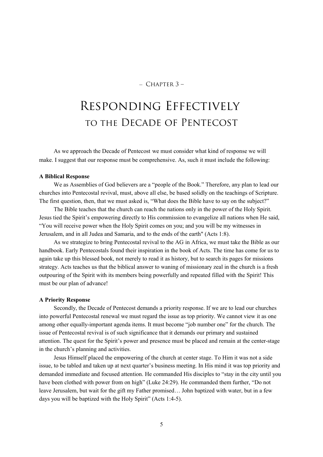#### $-$  CHAPTER  $3-$

### Responding Effectively to the Decade of Pentecost

As we approach the Decade of Pentecost we must consider what kind of response we will make. I suggest that our response must be comprehensive. As, such it must include the following:

#### A Biblical Response

We as Assemblies of God believers are a "people of the Book." Therefore, any plan to lead our churches into Pentecostal revival, must, above all else, be based solidly on the teachings of Scripture. The first question, then, that we must asked is, "What does the Bible have to say on the subject?"

The Bible teaches that the church can reach the nations only in the power of the Holy Spirit. Jesus tied the Spirit's empowering directly to His commission to evangelize all nations when He said, "You will receive power when the Holy Spirit comes on you; and you will be my witnesses in Jerusalem, and in all Judea and Samaria, and to the ends of the earth" (Acts 1:8).

As we strategize to bring Pentecostal revival to the AG in Africa, we must take the Bible as our handbook. Early Pentecostals found their inspiration in the book of Acts. The time has come for us to again take up this blessed book, not merely to read it as history, but to search its pages for missions strategy. Acts teaches us that the biblical answer to waning of missionary zeal in the church is a fresh outpouring of the Spirit with its members being powerfully and repeated filled with the Spirit! This must be our plan of advance!

#### A Priority Response

Secondly, the Decade of Pentecost demands a priority response. If we are to lead our churches into powerful Pentecostal renewal we must regard the issue as top priority. We cannot view it as one among other equally-important agenda items. It must become "job number one" for the church. The issue of Pentecostal revival is of such significance that it demands our primary and sustained attention. The quest for the Spirit's power and presence must be placed and remain at the center-stage in the church's planning and activities.

Jesus Himself placed the empowering of the church at center stage. To Him it was not a side issue, to be tabled and taken up at next quarter's business meeting. In His mind it was top priority and demanded immediate and focused attention. He commanded His disciples to "stay in the city until you have been clothed with power from on high" (Luke 24:29). He commanded them further, "Do not leave Jerusalem, but wait for the gift my Father promised… John baptized with water, but in a few days you will be baptized with the Holy Spirit" (Acts 1:4-5).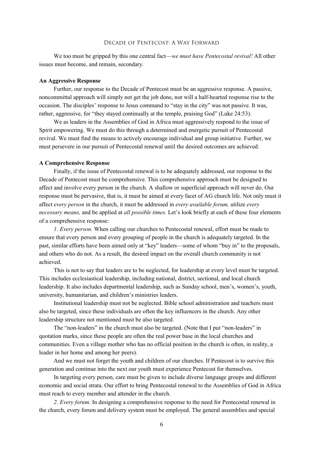We too must be gripped by this one central fact—we must have Pentecostal revival! All other issues must become, and remain, secondary.

#### An Aggressive Response

Further, our response to the Decade of Pentecost must be an aggressive response. A passive, noncommittal approach will simply not get the job done, nor will a half-hearted response rise to the occasion. The disciples' response to Jesus command to "stay in the city" was not passive. It was, rather, aggressive, for "they stayed continually at the temple, praising God" (Luke 24:53).

We as leaders in the Assemblies of God in Africa must aggressively respond to the issue of Spirit empowering. We must do this through a determined and energetic pursuit of Pentecostal revival. We must find the means to actively encourage individual and group initiative. Further, we must persevere in our pursuit of Pentecostal renewal until the desired outcomes are achieved.

#### A Comprehensive Response

Finally, if the issue of Pentecostal renewal is to be adequately addressed, our response to the Decade of Pentecost must be comprehensive. This comprehensive approach must be designed to affect and involve every person in the church. A shallow or superficial approach will never do. Our response must be pervasive, that is, it must be aimed at every facet of AG church life. Not only must it affect every person in the church, it must be addressed in every available forum, utilize every necessary means, and be applied at all possible times. Let's look briefly at each of these four elements of a comprehensive response:

1. Every person. When calling our churches to Pentecostal renewal, effort must be made to ensure that every person and every grouping of people in the church is adequately targeted. In the past, similar efforts have been aimed only at "key" leaders—some of whom "buy in" to the proposals, and others who do not. As a result, the desired impact on the overall church community is not achieved.

This is not to say that leaders are to be neglected, for leadership at every level must be targeted. This includes ecclesiastical leadership, including national, district, sectional, and local church leadership. It also includes departmental leadership, such as Sunday school, men's, women's, youth, university, humanitarian, and children's ministries leaders.

Institutional leadership must not be neglected. Bible school administration and teachers must also be targeted, since these individuals are often the key influencers in the church. Any other leadership structure not mentioned must be also targeted.

The "non-leaders" in the church must also be targeted. (Note that I put "non-leaders" in quotation marks, since these people are often the real power base in the local churches and communities. Even a village mother who has no official position in the church is often, in reality, a leader in her home and among her peers).

And we must not forget the youth and children of our churches. If Pentecost is to survive this generation and continue into the next our youth must experience Pentecost for themselves.

In targeting every person, care must be given to include diverse language groups and different economic and social strata. Our effort to bring Pentecostal renewal to the Assemblies of God in Africa must reach to every member and attender in the church.

2. Every forum. In designing a comprehensive response to the need for Pentecostal renewal in the church, every forum and delivery system must be employed. The general assemblies and special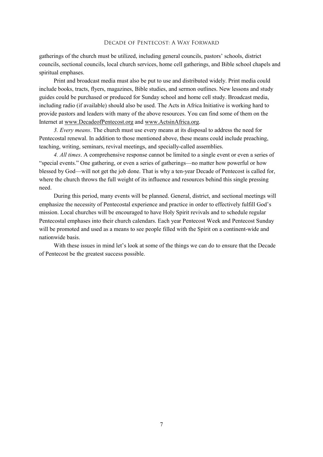gatherings of the church must be utilized, including general councils, pastors' schools, district councils, sectional councils, local church services, home cell gatherings, and Bible school chapels and spiritual emphases.

Print and broadcast media must also be put to use and distributed widely. Print media could include books, tracts, flyers, magazines, Bible studies, and sermon outlines. New lessons and study guides could be purchased or produced for Sunday school and home cell study. Broadcast media, including radio (if available) should also be used. The Acts in Africa Initiative is working hard to provide pastors and leaders with many of the above resources. You can find some of them on the Internet at www.DecadeofPentecost.org and www.ActsinAfrica.org.

3. Every means. The church must use every means at its disposal to address the need for Pentecostal renewal. In addition to those mentioned above, these means could include preaching, teaching, writing, seminars, revival meetings, and specially-called assemblies.

4. All times. A comprehensive response cannot be limited to a single event or even a series of "special events." One gathering, or even a series of gatherings—no matter how powerful or how blessed by God—will not get the job done. That is why a ten-year Decade of Pentecost is called for, where the church throws the full weight of its influence and resources behind this single pressing need.

During this period, many events will be planned. General, district, and sectional meetings will emphasize the necessity of Pentecostal experience and practice in order to effectively fulfill God's mission. Local churches will be encouraged to have Holy Spirit revivals and to schedule regular Pentecostal emphases into their church calendars. Each year Pentecost Week and Pentecost Sunday will be promoted and used as a means to see people filled with the Spirit on a continent-wide and nationwide basis.

With these issues in mind let's look at some of the things we can do to ensure that the Decade of Pentecost be the greatest success possible.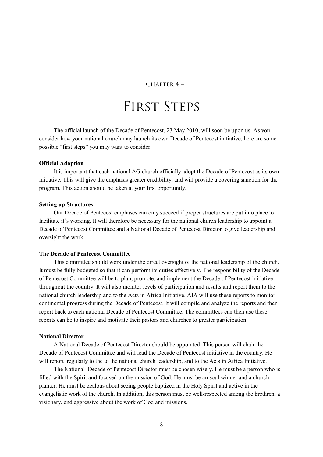#### $-$  CHAPTER 4 –

### FIRST STEPS

The official launch of the Decade of Pentecost, 23 May 2010, will soon be upon us. As you consider how your national church may launch its own Decade of Pentecost initiative, here are some possible "first steps" you may want to consider:

#### Official Adoption

It is important that each national AG church officially adopt the Decade of Pentecost as its own initiative. This will give the emphasis greater credibility, and will provide a covering sanction for the program. This action should be taken at your first opportunity.

#### Setting up Structures

Our Decade of Pentecost emphases can only succeed if proper structures are put into place to facilitate it's working. It will therefore be necessary for the national church leadership to appoint a Decade of Pentecost Committee and a National Decade of Pentecost Director to give leadership and oversight the work.

#### The Decade of Pentecost Committee

This committee should work under the direct oversight of the national leadership of the church. It must be fully budgeted so that it can perform its duties effectively. The responsibility of the Decade of Pentecost Committee will be to plan, promote, and implement the Decade of Pentecost initiative throughout the country. It will also monitor levels of participation and results and report them to the national church leadership and to the Acts in Africa Initiative. AIA will use these reports to monitor continental progress during the Decade of Pentecost. It will compile and analyze the reports and then report back to each national Decade of Pentecost Committee. The committees can then use these reports can be to inspire and motivate their pastors and churches to greater participation.

#### National Director

A National Decade of Pentecost Director should be appointed. This person will chair the Decade of Pentecost Committee and will lead the Decade of Pentecost initiative in the country. He will report regularly to the to the national church leadership, and to the Acts in Africa Initiative.

The National Decade of Pentecost Director must be chosen wisely. He must be a person who is filled with the Spirit and focused on the mission of God. He must be an soul winner and a church planter. He must be zealous about seeing people baptized in the Holy Spirit and active in the evangelistic work of the church. In addition, this person must be well-respected among the brethren, a visionary, and aggressive about the work of God and missions.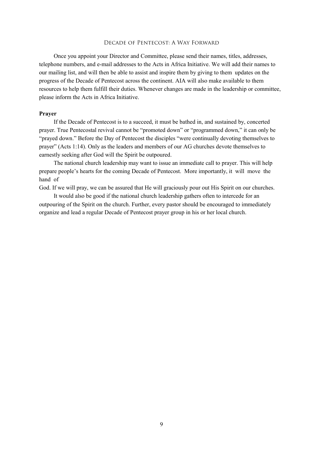Once you appoint your Director and Committee, please send their names, titles, addresses, telephone numbers, and e-mail addresses to the Acts in Africa Initiative. We will add their names to our mailing list, and will then be able to assist and inspire them by giving to them updates on the progress of the Decade of Pentecost across the continent. AIA will also make available to them resources to help them fulfill their duties. Whenever changes are made in the leadership or committee, please inform the Acts in Africa Initiative.

#### Prayer

If the Decade of Pentecost is to a succeed, it must be bathed in, and sustained by, concerted prayer. True Pentecostal revival cannot be "promoted down" or "programmed down," it can only be "prayed down." Before the Day of Pentecost the disciples "were continually devoting themselves to prayer" (Acts 1:14). Only as the leaders and members of our AG churches devote themselves to earnestly seeking after God will the Spirit be outpoured.

The national church leadership may want to issue an immediate call to prayer. This will help prepare people's hearts for the coming Decade of Pentecost. More importantly, it will move the hand of

God. If we will pray, we can be assured that He will graciously pour out His Spirit on our churches.

It would also be good if the national church leadership gathers often to intercede for an outpouring of the Spirit on the church. Further, every pastor should be encouraged to immediately organize and lead a regular Decade of Pentecost prayer group in his or her local church.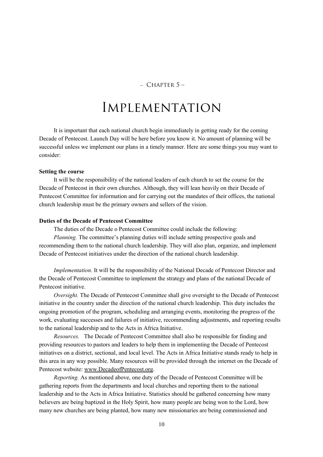#### $-$  CHAPTER  $5-$

### Implementation

It is important that each national church begin immediately in getting ready for the coming Decade of Pentecost. Launch Day will be here before you know it. No amount of planning will be successful unless we implement our plans in a timely manner. Here are some things you may want to consider:

#### Setting the course

It will be the responsibility of the national leaders of each church to set the course for the Decade of Pentecost in their own churches. Although, they will lean heavily on their Decade of Pentecost Committee for information and for carrying out the mandates of their offices, the national church leadership must be the primary owners and sellers of the vision.

#### Duties of the Decade of Pentecost Committee

The duties of the Decade o Pentecost Committee could include the following:

Planning. The committee's planning duties will include setting prospective goals and recommending them to the national church leadership. They will also plan, organize, and implement Decade of Pentecost initiatives under the direction of the national church leadership.

Implementation. It will be the responsibility of the National Decade of Pentecost Director and the Decade of Pentecost Committee to implement the strategy and plans of the national Decade of Pentecost initiative.

Oversight. The Decade of Pentecost Committee shall give oversight to the Decade of Pentecost initiative in the country under the direction of the national church leadership. This duty includes the ongoing promotion of the program, scheduling and arranging events, monitoring the progress of the work, evaluating successes and failures of initiative, recommending adjustments, and reporting results to the national leadership and to the Acts in Africa Initiative.

Resources. The Decade of Pentecost Committee shall also be responsible for finding and providing resources to pastors and leaders to help them in implementing the Decade of Pentecost initiatives on a district, sectional, and local level. The Acts in Africa Initiative stands ready to help in this area in any way possible. Many resources will be provided through the internet on the Decade of Pentecost website: www.DecadeofPentecost.org.

Reporting. As mentioned above, one duty of the Decade of Pentecost Committee will be gathering reports from the departments and local churches and reporting them to the national leadership and to the Acts in Africa Initiative. Statistics should be gathered concerning how many believers are being baptized in the Holy Spirit, how many people are being won to the Lord, how many new churches are being planted, how many new missionaries are being commissioned and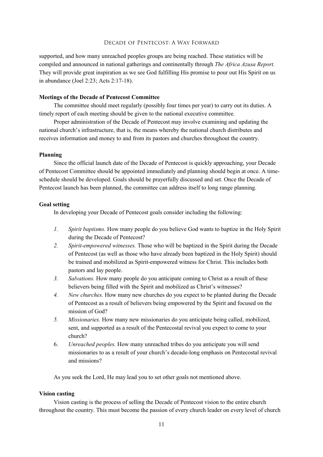supported, and how many unreached peoples groups are being reached. These statistics will be compiled and announced in national gatherings and continentally through The Africa Azusa Report. They will provide great inspiration as we see God fulfilling His promise to pour out His Spirit on us in abundance (Joel 2:23; Acts 2:17-18).

#### Meetings of the Decade of Pentecost Committee

The committee should meet regularly (possibly four times per year) to carry out its duties. A timely report of each meeting should be given to the national executive committee.

Proper administration of the Decade of Pentecost may involve examining and updating the national church's infrastructure, that is, the means whereby the national church distributes and receives information and money to and from its pastors and churches throughout the country.

#### Planning

Since the official launch date of the Decade of Pentecost is quickly approaching, your Decade of Pentecost Committee should be appointed immediately and planning should begin at once. A timeschedule should be developed. Goals should be prayerfully discussed and set. Once the Decade of Pentecost launch has been planned, the committee can address itself to long range planning.

#### Goal setting

In developing your Decade of Pentecost goals consider including the following:

- 1. Spirit baptisms. How many people do you believe God wants to baptize in the Holy Spirit during the Decade of Pentecost?
- 2. Spirit-empowered witnesses. Those who will be baptized in the Spirit during the Decade of Pentecost (as well as those who have already been baptized in the Holy Spirit) should be trained and mobilized as Spirit-empowered witness for Christ. This includes both pastors and lay people.
- 3. Salvations. How many people do you anticipate coming to Christ as a result of these believers being filled with the Spirit and mobilized as Christ's witnesses?
- 4. New churches. How many new churches do you expect to be planted during the Decade of Pentecost as a result of believers being empowered by the Spirit and focused on the mission of God?
- 5. Missionaries. How many new missionaries do you anticipate being called, mobilized, sent, and supported as a result of the Pentecostal revival you expect to come to your church?
- 6. Unreached peoples. How many unreached tribes do you anticipate you will send missionaries to as a result of your church's decade-long emphasis on Pentecostal revival and missions?

As you seek the Lord, He may lead you to set other goals not mentioned above.

#### Vision casting

Vision casting is the process of selling the Decade of Pentecost vision to the entire church throughout the country. This must become the passion of every church leader on every level of church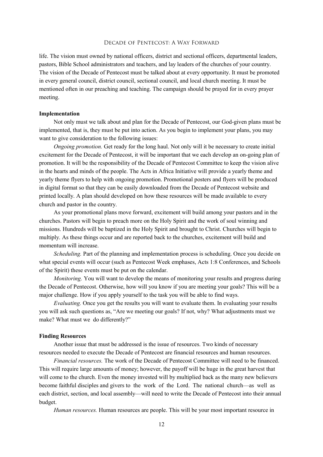life. The vision must owned by national officers, district and sectional officers, departmental leaders, pastors, Bible School administrators and teachers, and lay leaders of the churches of your country. The vision of the Decade of Pentecost must be talked about at every opportunity. It must be promoted in every general council, district council, sectional council, and local church meeting. It must be mentioned often in our preaching and teaching. The campaign should be prayed for in every prayer meeting.

#### Implementation

Not only must we talk about and plan for the Decade of Pentecost, our God-given plans must be implemented, that is, they must be put into action. As you begin to implement your plans, you may want to give consideration to the following issues:

Ongoing promotion. Get ready for the long haul. Not only will it be necessary to create initial excitement for the Decade of Pentecost, it will be important that we each develop an on-going plan of promotion. It will be the responsibility of the Decade of Pentecost Committee to keep the vision alive in the hearts and minds of the people. The Acts in Africa Initiative will provide a yearly theme and yearly theme flyers to help with ongoing promotion. Promotional posters and flyers will be produced in digital format so that they can be easily downloaded from the Decade of Pentecost website and printed locally. A plan should developed on how these resources will be made available to every church and pastor in the country.

As your promotional plans move forward, excitement will build among your pastors and in the churches. Pastors will begin to preach more on the Holy Spirit and the work of soul winning and missions. Hundreds will be baptized in the Holy Spirit and brought to Christ. Churches will begin to multiply. As these things occur and are reported back to the churches, excitement will build and momentum will increase.

Scheduling. Part of the planning and implementation process is scheduling. Once you decide on what special events will occur (such as Pentecost Week emphases, Acts 1:8 Conferences, and Schools of the Spirit) these events must be put on the calendar.

*Monitoring.* You will want to develop the means of monitoring your results and progress during the Decade of Pentecost. Otherwise, how will you know if you are meeting your goals? This will be a major challenge. How if you apply yourself to the task you will be able to find ways.

Evaluating. Once you get the results you will want to evaluate them. In evaluating your results you will ask such questions as, "Are we meeting our goals? If not, why? What adjustments must we make? What must we do differently?"

#### Finding Resources

Another issue that must be addressed is the issue of resources. Two kinds of necessary resources needed to execute the Decade of Pentecost are financial resources and human resources.

Financial resources. The work of the Decade of Pentecost Committee will need to be financed. This will require large amounts of money; however, the payoff will be huge in the great harvest that will come to the church. Even the money invested will by multiplied back as the many new believers become faithful disciples and givers to the work of the Lord. The national church—as well as each district, section, and local assembly—will need to write the Decade of Pentecost into their annual budget.

Human resources. Human resources are people. This will be your most important resource in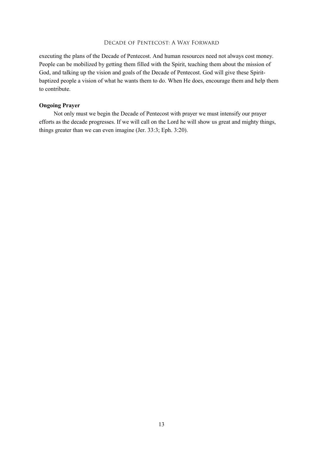executing the plans of the Decade of Pentecost. And human resources need not always cost money. People can be mobilized by getting them filled with the Spirit, teaching them about the mission of God, and talking up the vision and goals of the Decade of Pentecost. God will give these Spiritbaptized people a vision of what he wants them to do. When He does, encourage them and help them to contribute.

#### Ongoing Prayer

Not only must we begin the Decade of Pentecost with prayer we must intensify our prayer efforts as the decade progresses. If we will call on the Lord he will show us great and mighty things, things greater than we can even imagine (Jer. 33:3; Eph. 3:20).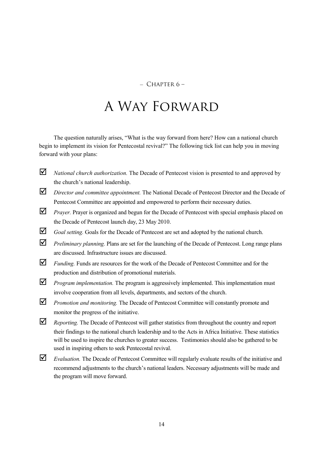#### $-$  CHAPTER 6 –

### A Way Forward

The question naturally arises, "What is the way forward from here? How can a national church begin to implement its vision for Pentecostal revival?" The following tick list can help you in moving forward with your plans:

- $\blacksquare$  National church authorization. The Decade of Pentecost vision is presented to and approved by the church's national leadership.
- $\Box$  Director and committee appointment. The National Decade of Pentecost Director and the Decade of Pentecost Committee are appointed and empowered to perform their necessary duties.
- $\Delta$  *Prayer*. Prayer is organized and begun for the Decade of Pentecost with special emphasis placed on the Decade of Pentecost launch day, 23 May 2010.
- $\Box$  Goal setting. Goals for the Decade of Pentecost are set and adopted by the national church.
- $\triangledown$  *Preliminary planning.* Plans are set for the launching of the Decade of Pentecost. Long range plans are discussed. Infrastructure issues are discussed.
- $\Box$  Funding. Funds are resources for the work of the Decade of Pentecost Committee and for the production and distribution of promotional materials.
- $\nabla$  *Program implementation*. The program is aggressively implemented. This implementation must involve cooperation from all levels, departments, and sectors of the church.
- **P** Promotion and monitoring. The Decade of Pentecost Committee will constantly promote and monitor the progress of the initiative.
- Reporting. The Decade of Pentecost will gather statistics from throughout the country and report their findings to the national church leadership and to the Acts in Africa Initiative. These statistics will be used to inspire the churches to greater success. Testimonies should also be gathered to be used in inspiring others to seek Pentecostal revival.
- $\Box$  Evaluation. The Decade of Pentecost Committee will regularly evaluate results of the initiative and recommend adjustments to the church's national leaders. Necessary adjustments will be made and the program will move forward.